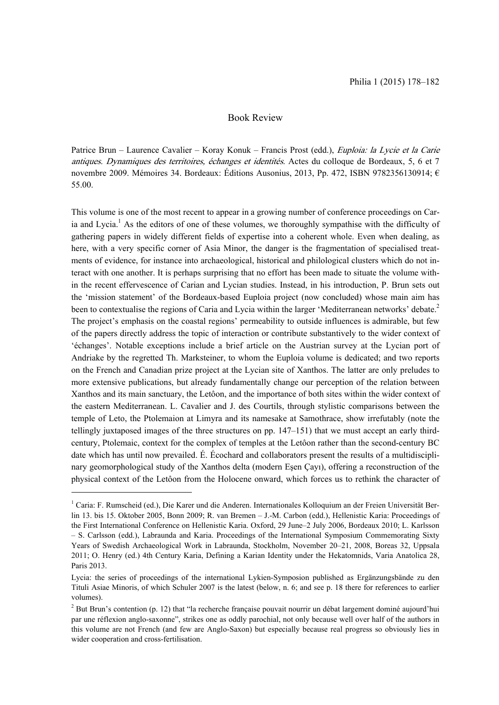## Book Review

Patrice Brun – Laurence Cavalier – Koray Konuk – Francis Prost (edd.), Euploia: la Lycie et la Carie antiques. Dynamiques des territoires, échanges et identités. Actes du colloque de Bordeaux, 5, 6 et 7 novembre 2009. Mémoires 34. Bordeaux: Éditions Ausonius, 2013, Pp. 472, ISBN 9782356130914; € 55.00.

This volume is one of the most recent to appear in a growing number of conference proceedings on Caria and Lycia.<sup>1</sup> As the editors of one of these volumes, we thoroughly sympathise with the difficulty of gathering papers in widely different fields of expertise into a coherent whole. Even when dealing, as here, with a very specific corner of Asia Minor, the danger is the fragmentation of specialised treatments of evidence, for instance into archaeological, historical and philological clusters which do not interact with one another. It is perhaps surprising that no effort has been made to situate the volume within the recent effervescence of Carian and Lycian studies. Instead, in his introduction, P. Brun sets out the 'mission statement' of the Bordeaux-based Euploia project (now concluded) whose main aim has been to contextualise the regions of Caria and Lycia within the larger 'Mediterranean networks' debate.<sup>2</sup> The project's emphasis on the coastal regions' permeability to outside influences is admirable, but few of the papers directly address the topic of interaction or contribute substantively to the wider context of 'échanges'. Notable exceptions include a brief article on the Austrian survey at the Lycian port of Andriake by the regretted Th. Marksteiner, to whom the Euploia volume is dedicated; and two reports on the French and Canadian prize project at the Lycian site of Xanthos. The latter are only preludes to more extensive publications, but already fundamentally change our perception of the relation between Xanthos and its main sanctuary, the Letôon, and the importance of both sites within the wider context of the eastern Mediterranean. L. Cavalier and J. des Courtils, through stylistic comparisons between the temple of Leto, the Ptolemaion at Limyra and its namesake at Samothrace, show irrefutably (note the tellingly juxtaposed images of the three structures on pp. 147–151) that we must accept an early thirdcentury, Ptolemaic, context for the complex of temples at the Letôon rather than the second-century BC date which has until now prevailed. É. Écochard and collaborators present the results of a multidisciplinary geomorphological study of the Xanthos delta (modern Esen Çayı), offering a reconstruction of the physical context of the Letôon from the Holocene onward, which forces us to rethink the character of

-

<sup>&</sup>lt;sup>1</sup> Caria: F. Rumscheid (ed.), Die Karer und die Anderen. Internationales Kolloquium an der Freien Universität Berlin 13. bis 15. Oktober 2005, Bonn 2009; R. van Bremen – J.-M. Carbon (edd.), Hellenistic Karia: Proceedings of the First International Conference on Hellenistic Karia. Oxford, 29 June–2 July 2006, Bordeaux 2010; L. Karlsson – S. Carlsson (edd.), Labraunda and Karia. Proceedings of the International Symposium Commemorating Sixty Years of Swedish Archaeological Work in Labraunda, Stockholm, November 20–21, 2008, Boreas 32, Uppsala 2011; O. Henry (ed.) 4th Century Karia, Defining a Karian Identity under the Hekatomnids, Varia Anatolica 28, Paris 2013.

Lycia: the series of proceedings of the international Lykien-Symposion published as Ergänzungsbände zu den Tituli Asiae Minoris, of which Schuler 2007 is the latest (below, n. 6; and see p. 18 there for references to earlier volumes).

 $2^{2}$  But Brun's contention (p. 12) that "la recherche française pouvait nourrir un débat largement dominé aujourd'hui par une réflexion anglo-saxonne", strikes one as oddly parochial, not only because well over half of the authors in this volume are not French (and few are Anglo-Saxon) but especially because real progress so obviously lies in wider cooperation and cross-fertilisation.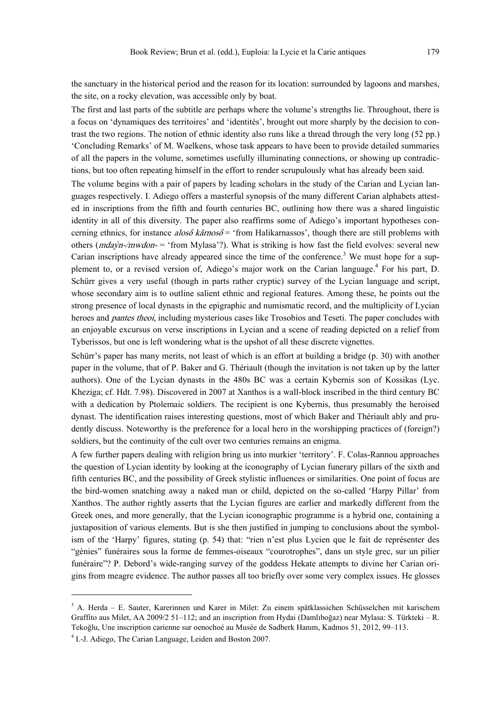the sanctuary in the historical period and the reason for its location: surrounded by lagoons and marshes, the site, on a rocky elevation, was accessible only by boat.

The first and last parts of the subtitle are perhaps where the volume's strengths lie. Throughout, there is a focus on 'dynamiques des territoires' and 'identités', brought out more sharply by the decision to contrast the two regions. The notion of ethnic identity also runs like a thread through the very long (52 pp.) 'Concluding Remarks' of M. Waelkens, whose task appears to have been to provide detailed summaries of all the papers in the volume, sometimes usefully illuminating connections, or showing up contradictions, but too often repeating himself in the effort to render scrupulously what has already been said.

The volume begins with a pair of papers by leading scholars in the study of the Carian and Lycian languages respectively. I. Adiego offers a masterful synopsis of the many different Carian alphabets attested in inscriptions from the fifth and fourth centuries BC, outlining how there was a shared linguistic identity in all of this diversity. The paper also reaffirms some of Adiego's important hypotheses concerning ethnics, for instance alos $\delta$  kârnos $\delta$  = 'from Halikarnassos', though there are still problems with others ( $mdaýn/mwdon =$  'from Mylasa'?). What is striking is how fast the field evolves: several new Carian inscriptions have already appeared since the time of the conference.<sup>3</sup> We must hope for a supplement to, or a revised version of, Adiego's major work on the Carian language.<sup>4</sup> For his part, D. Schürr gives a very useful (though in parts rather cryptic) survey of the Lycian language and script, whose secondary aim is to outline salient ethnic and regional features. Among these, he points out the strong presence of local dynasts in the epigraphic and numismatic record, and the multiplicity of Lycian heroes and *pantes theoi*, including mysterious cases like Trosobios and Teseti. The paper concludes with an enjoyable excursus on verse inscriptions in Lycian and a scene of reading depicted on a relief from Tyberissos, but one is left wondering what is the upshot of all these discrete vignettes.

Schürr's paper has many merits, not least of which is an effort at building a bridge (p. 30) with another paper in the volume, that of P. Baker and G. Thériault (though the invitation is not taken up by the latter authors). One of the Lycian dynasts in the 480s BC was a certain Kybernis son of Kossikas (Lyc. Kheziga; cf. Hdt. 7.98). Discovered in 2007 at Xanthos is a wall-block inscribed in the third century BC with a dedication by Ptolemaic soldiers. The recipient is one Kybernis, thus presumably the heroised dynast. The identification raises interesting questions, most of which Baker and Thériault ably and prudently discuss. Noteworthy is the preference for a local hero in the worshipping practices of (foreign?) soldiers, but the continuity of the cult over two centuries remains an enigma.

A few further papers dealing with religion bring us into murkier 'territory'. F. Colas-Rannou approaches the question of Lycian identity by looking at the iconography of Lycian funerary pillars of the sixth and fifth centuries BC, and the possibility of Greek stylistic influences or similarities. One point of focus are the bird-women snatching away a naked man or child, depicted on the so-called 'Harpy Pillar' from Xanthos. The author rightly asserts that the Lycian figures are earlier and markedly different from the Greek ones, and more generally, that the Lycian iconographic programme is a hybrid one, containing a juxtaposition of various elements. But is she then justified in jumping to conclusions about the symbolism of the 'Harpy' figures, stating (p. 54) that: "rien n'est plus Lycien que le fait de représenter des "génies" funéraires sous la forme de femmes-oiseaux "courotrophes", dans un style grec, sur un pilier funéraire"? P. Debord's wide-ranging survey of the goddess Hekate attempts to divine her Carian origins from meagre evidence. The author passes all too briefly over some very complex issues. He glosses

<sup>-</sup>

<sup>3</sup> A. Herda – E. Sauter, Karerinnen und Karer in Milet: Zu einem spätklassichen Schüsselchen mit karischem Graffito aus Milet, AA 2009/2 51–112; and an inscription from Hydai (Damlıboğaz) near Mylasa: S. Türkteki – R. Tekoálu, Une inscription carienne sur oenochoé au Musée de Sadberk Hanım, Kadmos 51, 2012, 99–113.

<sup>&</sup>lt;sup>4</sup> I.-J. Adiego, The Carian Language, Leiden and Boston 2007.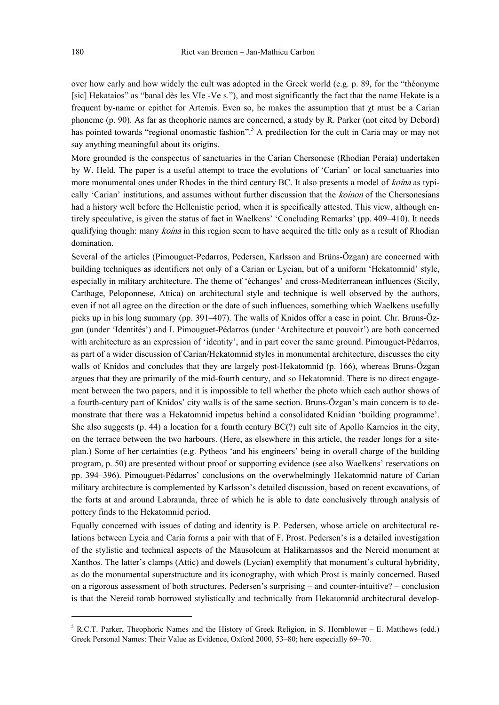over how early and how widely the cult was adopted in the Greek world (e.g. p. 89, for the "théonyme [sic] Hekataios" as "banal dès les VIe -Ve s."), and most significantly the fact that the name Hekate is a frequent by-name or epithet for Artemis. Even so, he makes the assumption that  $\gamma t$  must be a Carian phoneme (p. 90). As far as theophoric names are concerned, a study by R. Parker (not cited by Debord) has pointed towards "regional onomastic fashion".<sup>5</sup> A predilection for the cult in Caria may or may not say anything meaningful about its origins.

More grounded is the conspectus of sanctuaries in the Carian Chersonese (Rhodian Peraia) undertaken by W. Held. The paper is a useful attempt to trace the evolutions of 'Carian' or local sanctuaries into more monumental ones under Rhodes in the third century BC. It also presents a model of *koina* as typically 'Carian' institutions, and assumes without further discussion that the *koinon* of the Chersonesians had a history well before the Hellenistic period, when it is specifically attested. This view, although entirely speculative, is given the status of fact in Waelkens' 'Concluding Remarks' (pp. 409–410). It needs qualifying though: many koina in this region seem to have acquired the title only as a result of Rhodian domination.

Several of the articles (Pimouguet-Pedarros, Pedersen, Karlsson and Brüns-Özgan) are concerned with building techniques as identifiers not only of a Carian or Lycian, but of a uniform 'Hekatomnid' style, especially in military architecture. The theme of 'échanges' and cross-Mediterranean influences (Sicily, Carthage, Peloponnese, Attica) on architectural style and technique is well observed by the authors, even if not all agree on the direction or the date of such influences, something which Waelkens usefully picks up in his long summary (pp. 391–407). The walls of Knidos offer a case in point. Chr. Bruns-Özgan (under 'Identités') and I. Pimouguet-Pédarros (under 'Architecture et pouvoir') are both concerned with architecture as an expression of 'identity', and in part cover the same ground. Pimouguet-Pédarros, as part of a wider discussion of Carian/Hekatomnid styles in monumental architecture, discusses the city walls of Knidos and concludes that they are largely post-Hekatomnid (p. 166), whereas Bruns-Özgan argues that they are primarily of the mid-fourth century, and so Hekatomnid. There is no direct engagement between the two papers, and it is impossible to tell whether the photo which each author shows of a fourth-century part of Knidos' city walls is of the same section. Bruns-Özgan's main concern is to demonstrate that there was a Hekatomnid impetus behind a consolidated Knidian 'building programme'. She also suggests  $(p. 44)$  a location for a fourth century  $BC(?)$  cult site of Apollo Karneios in the city, on the terrace between the two harbours. (Here, as elsewhere in this article, the reader longs for a siteplan.) Some of her certainties (e.g. Pytheos 'and his engineers' being in overall charge of the building program, p. 50) are presented without proof or supporting evidence (see also Waelkens' reservations on pp. 394–396). Pimouguet-Pédarros' conclusions on the overwhelmingly Hekatomnid nature of Carian military architecture is complemented by Karlsson's detailed discussion, based on recent excavations, of the forts at and around Labraunda, three of which he is able to date conclusively through analysis of pottery finds to the Hekatomnid period.

Equally concerned with issues of dating and identity is P. Pedersen, whose article on architectural relations between Lycia and Caria forms a pair with that of F. Prost. Pedersen's is a detailed investigation of the stylistic and technical aspects of the Mausoleum at Halikarnassos and the Nereid monument at Xanthos. The latter's clamps (Attic) and dowels (Lycian) exemplify that monument's cultural hybridity, as do the monumental superstructure and its iconography, with which Prost is mainly concerned. Based on a rigorous assessment of both structures, Pedersen's surprising – and counter-intuitive? – conclusion is that the Nereid tomb borrowed stylistically and technically from Hekatomnid architectural develop-

-

 $<sup>5</sup>$  R.C.T. Parker, Theophoric Names and the History of Greek Religion, in S. Hornblower – E. Matthews (edd.)</sup> Greek Personal Names: Their Value as Evidence, Oxford 2000, 53–80; here especially 69–70.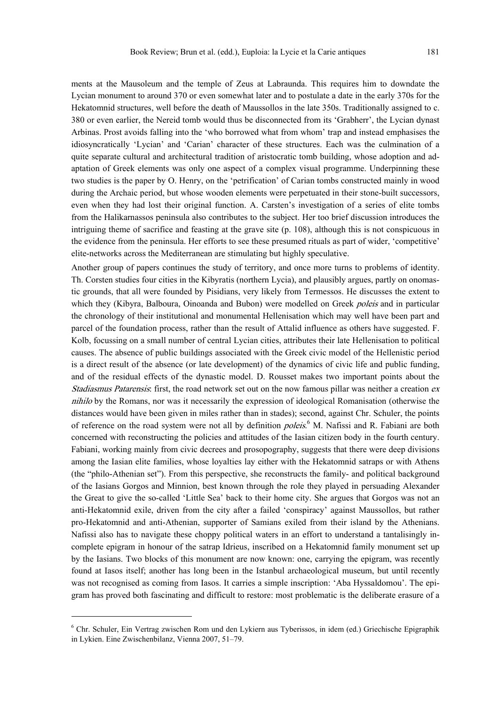ments at the Mausoleum and the temple of Zeus at Labraunda. This requires him to downdate the Lycian monument to around 370 or even somewhat later and to postulate a date in the early 370s for the Hekatomnid structures, well before the death of Maussollos in the late 350s. Traditionally assigned to c. 380 or even earlier, the Nereid tomb would thus be disconnected from its 'Grabherr', the Lycian dynast Arbinas. Prost avoids falling into the 'who borrowed what from whom' trap and instead emphasises the idiosyncratically 'Lycian' and 'Carian' character of these structures. Each was the culmination of a quite separate cultural and architectural tradition of aristocratic tomb building, whose adoption and adaptation of Greek elements was only one aspect of a complex visual programme. Underpinning these two studies is the paper by O. Henry, on the 'petrification' of Carian tombs constructed mainly in wood during the Archaic period, but whose wooden elements were perpetuated in their stone-built successors, even when they had lost their original function. A. Carsten's investigation of a series of elite tombs from the Halikarnassos peninsula also contributes to the subject. Her too brief discussion introduces the intriguing theme of sacrifice and feasting at the grave site (p. 108), although this is not conspicuous in the evidence from the peninsula. Her efforts to see these presumed rituals as part of wider, 'competitive' elite-networks across the Mediterranean are stimulating but highly speculative.

Another group of papers continues the study of territory, and once more turns to problems of identity. Th. Corsten studies four cities in the Kibyratis (northern Lycia), and plausibly argues, partly on onomastic grounds, that all were founded by Pisidians, very likely from Termessos. He discusses the extent to which they (Kibyra, Balboura, Oinoanda and Bubon) were modelled on Greek *poleis* and in particular the chronology of their institutional and monumental Hellenisation which may well have been part and parcel of the foundation process, rather than the result of Attalid influence as others have suggested. F. Kolb, focussing on a small number of central Lycian cities, attributes their late Hellenisation to political causes. The absence of public buildings associated with the Greek civic model of the Hellenistic period is a direct result of the absence (or late development) of the dynamics of civic life and public funding, and of the residual effects of the dynastic model. D. Rousset makes two important points about the Stadiasmus Patarensis: first, the road network set out on the now famous pillar was neither a creation ex nihilo by the Romans, nor was it necessarily the expression of ideological Romanisation (otherwise the distances would have been given in miles rather than in stades); second, against Chr. Schuler, the points of reference on the road system were not all by definition *poleis*.<sup>6</sup> M. Nafissi and R. Fabiani are both concerned with reconstructing the policies and attitudes of the Iasian citizen body in the fourth century. Fabiani, working mainly from civic decrees and prosopography, suggests that there were deep divisions among the Iasian elite families, whose loyalties lay either with the Hekatomnid satraps or with Athens (the "philo-Athenian set"). From this perspective, she reconstructs the family- and political background of the Iasians Gorgos and Minnion, best known through the role they played in persuading Alexander the Great to give the so-called 'Little Sea' back to their home city. She argues that Gorgos was not an anti-Hekatomnid exile, driven from the city after a failed 'conspiracy' against Maussollos, but rather pro-Hekatomnid and anti-Athenian, supporter of Samians exiled from their island by the Athenians. Nafissi also has to navigate these choppy political waters in an effort to understand a tantalisingly incomplete epigram in honour of the satrap Idrieus, inscribed on a Hekatomnid family monument set up by the Iasians. Two blocks of this monument are now known: one, carrying the epigram, was recently found at Iasos itself; another has long been in the Istanbul archaeological museum, but until recently was not recognised as coming from Iasos. It carries a simple inscription: 'Aba Hyssaldomou'. The epigram has proved both fascinating and difficult to restore: most problematic is the deliberate erasure of a

-

<sup>6</sup> Chr. Schuler, Ein Vertrag zwischen Rom und den Lykiern aus Tyberissos, in idem (ed.) Griechische Epigraphik in Lykien. Eine Zwischenbilanz, Vienna 2007, 51–79.